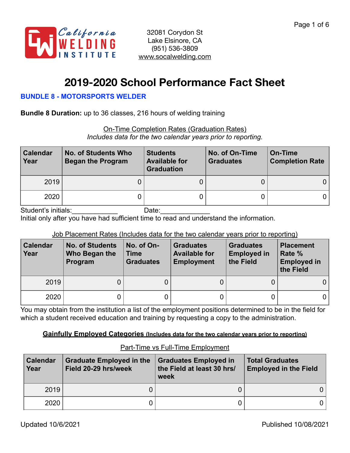

# **2019-2020 School Performance Fact Sheet**

## **BUNDLE 8 - MOTORSPORTS WELDER**

**Bundle 8 Duration:** up to 36 classes, 216 hours of welding training

On-Time Completion Rates (Graduation Rates) *Includes data for the two calendar years prior to reporting.*

| <b>Calendar</b><br>Year | No. of Students Who<br><b>Began the Program</b> | <b>Students</b><br><b>Available for</b><br><b>Graduation</b> | No. of On-Time<br><b>Graduates</b> | On-Time<br><b>Completion Rate</b> |
|-------------------------|-------------------------------------------------|--------------------------------------------------------------|------------------------------------|-----------------------------------|
| 2019                    |                                                 |                                                              |                                    |                                   |
| 2020                    |                                                 |                                                              |                                    |                                   |

Student's initials:\_\_\_\_\_\_\_\_\_\_\_\_ Date:\_\_\_\_\_\_\_\_\_\_\_\_\_

Initial only after you have had sufficient time to read and understand the information.

## Job Placement Rates (Includes data for the two calendar years prior to reporting)

| <b>Calendar</b><br>Year | <b>No. of Students</b><br>Who Began the<br>Program | No. of On-<br><b>Time</b><br><b>Graduates</b> | <b>Graduates</b><br><b>Available for</b><br><b>Employment</b> | <b>Graduates</b><br><b>Employed in</b><br>the Field | <b>Placement</b><br>Rate %<br><b>Employed in</b><br>the Field |
|-------------------------|----------------------------------------------------|-----------------------------------------------|---------------------------------------------------------------|-----------------------------------------------------|---------------------------------------------------------------|
| 2019                    | 0                                                  |                                               |                                                               |                                                     | 0                                                             |
| 2020                    | 0                                                  |                                               |                                                               |                                                     | 0                                                             |

You may obtain from the institution a list of the employment positions determined to be in the field for which a student received education and training by requesting a copy to the administration.

## **Gainfully Employed Categories (Includes data for the two calendar years prior to reporting)**

| <b>Calendar</b><br>Year | <b>Graduate Employed in the</b><br>Field 20-29 hrs/week | <b>Graduates Employed in</b><br>the Field at least 30 hrs/<br>week | <b>Total Graduates</b><br><b>Employed in the Field</b> |  |
|-------------------------|---------------------------------------------------------|--------------------------------------------------------------------|--------------------------------------------------------|--|
| 2019                    |                                                         |                                                                    |                                                        |  |
| 2020                    |                                                         |                                                                    |                                                        |  |

# Part-Time vs Full-Time Employment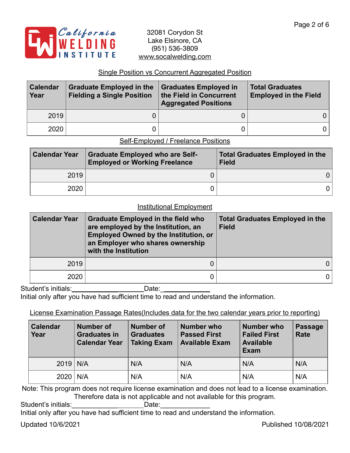

## Single Position vs Concurrent Aggregated Position

| <b>Calendar</b><br>Year | <b>Graduate Employed in the</b><br><b>Fielding a Single Position</b> | <b>Graduates Employed in</b><br>the Field in Concurrent<br><b>Aggregated Positions</b> | <b>Total Graduates</b><br><b>Employed in the Field</b> |
|-------------------------|----------------------------------------------------------------------|----------------------------------------------------------------------------------------|--------------------------------------------------------|
| 2019                    |                                                                      |                                                                                        | 0 I                                                    |
| 2020                    |                                                                      |                                                                                        | 0 I                                                    |

#### Self-Employed / Freelance Positions

| <b>Calendar Year</b> | <b>Graduate Employed who are Self-</b><br><b>Employed or Working Freelance</b> | <b>Total Graduates Employed in the</b><br><b>Field</b> |  |  |
|----------------------|--------------------------------------------------------------------------------|--------------------------------------------------------|--|--|
| 2019                 |                                                                                | 0 I                                                    |  |  |
| 2020                 |                                                                                | 0 I                                                    |  |  |

#### Institutional Employment

| <b>Calendar Year</b> | <b>Graduate Employed in the field who</b><br>are employed by the Institution, an<br><b>Employed Owned by the Institution, or</b><br>an Employer who shares ownership<br>with the Institution | <b>Total Graduates Employed in the</b><br><b>Field</b> |  |  |
|----------------------|----------------------------------------------------------------------------------------------------------------------------------------------------------------------------------------------|--------------------------------------------------------|--|--|
| 2019                 |                                                                                                                                                                                              | 0                                                      |  |  |
| 2020                 |                                                                                                                                                                                              |                                                        |  |  |

Student's initials:\_\_\_\_\_\_\_\_\_\_\_\_\_\_\_\_\_\_\_\_\_\_\_\_\_\_\_Date: \_

Initial only after you have had sufficient time to read and understand the information.

## License Examination Passage Rates(Includes data for the two calendar years prior to reporting)

| <b>Calendar</b><br>Year | <b>Number of</b><br><b>Graduates in</b><br><b>Calendar Year</b> | <b>Number of</b><br><b>Graduates</b><br><b>Taking Exam</b> | Number who<br><b>Passed First</b><br><b>Available Exam</b> | <b>Number who</b><br><b>Failed First</b><br><b>Available</b><br><b>Exam</b> | <b>Passage</b><br><b>Rate</b> |
|-------------------------|-----------------------------------------------------------------|------------------------------------------------------------|------------------------------------------------------------|-----------------------------------------------------------------------------|-------------------------------|
| $2019$ N/A              |                                                                 | N/A                                                        | N/A                                                        | N/A                                                                         | N/A                           |
| $2020$   N/A            |                                                                 | N/A                                                        | N/A                                                        | N/A                                                                         | N/A                           |

Note: This program does not require license examination and does not lead to a license examination. Therefore data is not applicable and not available for this program.

Student's initials:\_\_\_\_\_\_\_\_\_\_\_\_\_\_\_\_\_\_\_\_\_\_\_\_\_\_\_Date:

Initial only after you have had sufficient time to read and understand the information.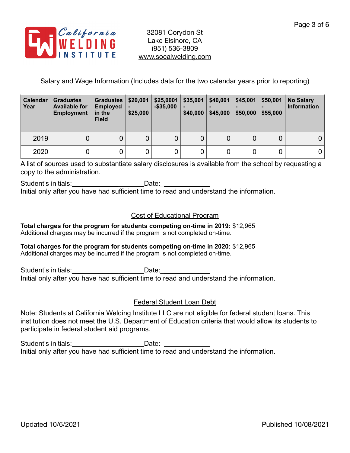

## Salary and Wage Information (Includes data for the two calendar years prior to reporting)

| Calendar<br>Year | <b>Graduates</b><br><b>Available for</b><br><b>Employment</b> | <b>Graduates</b><br><b>Employed</b><br>in the<br><b>Field</b> | \$20,001<br>$\blacksquare$<br>\$25,000 | \$25,0001<br>$-$ \$35,000 | \$35,001<br>٠<br>\$40,000 | \$40,001<br>-<br>\$45,000 | \$45,001<br>\$50,000 | \$50,001<br>\$55,000 | <b>No Salary</b><br><b>Information</b> |
|------------------|---------------------------------------------------------------|---------------------------------------------------------------|----------------------------------------|---------------------------|---------------------------|---------------------------|----------------------|----------------------|----------------------------------------|
| 2019             | 0                                                             |                                                               | 0                                      | 0                         | 0                         | 0                         | 0                    |                      |                                        |
| 2020             | 0                                                             |                                                               | 0                                      | 0                         | 0                         |                           | 0                    |                      |                                        |

A list of sources used to substantiate salary disclosures is available from the school by requesting a copy to the administration.

Student's initials: example and the Date: Initial only after you have had sufficient time to read and understand the information.

## Cost of Educational Program

**Total charges for the program for students competing on-time in 2019:** \$12,965 Additional charges may be incurred if the program is not completed on-time.

**Total charges for the program for students competing on-time in 2020:** \$12,965 Additional charges may be incurred if the program is not completed on-time.

Student's initials:\_\_\_\_\_\_\_\_\_\_\_\_\_\_\_\_\_\_\_\_\_\_\_\_\_Date:\_\_\_\_ Initial only after you have had sufficient time to read and understand the information.

## Federal Student Loan Debt

Note: Students at California Welding Institute LLC are not eligible for federal student loans. This institution does not meet the U.S. Department of Education criteria that would allow its students to participate in federal student aid programs.

Student's initials: \_\_\_\_\_\_\_\_\_\_\_\_\_\_\_\_\_\_\_\_\_\_\_\_\_\_\_\_\_\_\_Date: \_\_\_\_\_ Initial only after you have had sufficient time to read and understand the information.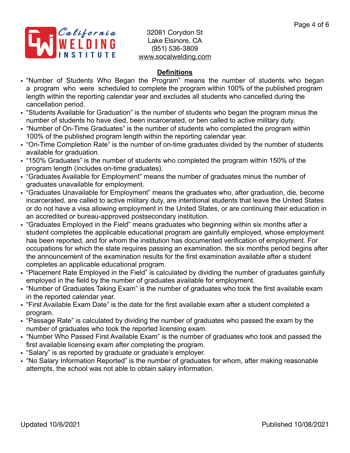

# **Definitions**

- "Number of Students Who Began the Program" means the number of students who began a program who were scheduled to complete the program within 100% of the published program length within the reporting calendar year and excludes all students who cancelled during the cancellation period.
- "Students Available for Graduation" is the number of students who began the program minus the number of students ho have died, been incarcerated, or ben called to active military duty.
- "Number of On-Time Graduates" is the number of students who completed the program within 100% of the published program length within the reporting calendar year.
- "On-Time Completion Rate" is the number of on-time graduates divided by the number of students available for graduation.
- "150% Graduates" is the number of students who completed the program within 150% of the program length (includes on-time graduates).
- "Graduates Available for Employment" means the number of graduates minus the number of graduates unavailable for employment.
- "Graduates Unavailable for Employment" means the graduates who, after graduation, die, become incarcerated, are called to active military duty, are intentional students that leave the United States or do not have a visa allowing employment in the United States, or are continuing their education in an accredited or bureau-approved postsecondary institution.
- "Graduates Employed in the Field" means graduates who beginning within six months after a student completes the applicable educational program are gainfully employed, whose employment has been reported, and for whom the institution has documented verification of employment. For occupations for which the state requires passing an examination, the six months period begins after the announcement of the examination results for the first examination available after a student completes an applicable educational program.
- "Placement Rate Employed in the Field" is calculated by dividing the number of graduates gainfully employed in the field by the number of graduates available for employment.
- "Number of Graduates Taking Exam" is the number of graduates who took the first available exam in the reported calendar year.
- "First Available Exam Date" is the date for the first available exam after a student completed a program.
- "Passage Rate" is calculated by dividing the number of graduates who passed the exam by the number of graduates who took the reported licensing exam.
- "Number Who Passed First Available Exam" is the number of graduates who took and passed the first available licensing exam after completing the program.
- "Salary" is as reported by graduate or graduate's employer.
- "No Salary Information Reported" is the number of graduates for whom, after making reasonable attempts, the school was not able to obtain salary information.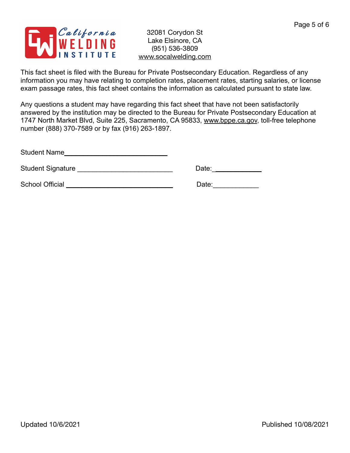

This fact sheet is filed with the Bureau for Private Postsecondary Education. Regardless of any information you may have relating to completion rates, placement rates, starting salaries, or license exam passage rates, this fact sheet contains the information as calculated pursuant to state law.

Any questions a student may have regarding this fact sheet that have not been satisfactorily answered by the institution may be directed to the Bureau for Private Postsecondary Education at 1747 North Market Blvd, Suite 225, Sacramento, CA 95833, [www.bppe.ca.gov](http://www.bppe.ca.gov), toll-free telephone number (888) 370-7589 or by fax (916) 263-1897.

Student Name\_\_\_\_\_\_\_\_\_\_\_\_\_\_\_\_\_\_\_\_\_\_\_\_\_\_\_

Student Signature \_\_\_\_\_\_\_\_\_\_\_\_\_\_\_\_\_\_\_\_\_\_\_\_\_ Date:\_\_\_\_\_\_\_\_\_\_\_\_\_

School Official \_\_\_\_\_\_\_\_\_\_\_\_\_\_\_\_\_\_\_\_\_\_\_\_\_\_\_\_ Date:\_\_\_\_\_\_\_\_\_\_\_\_